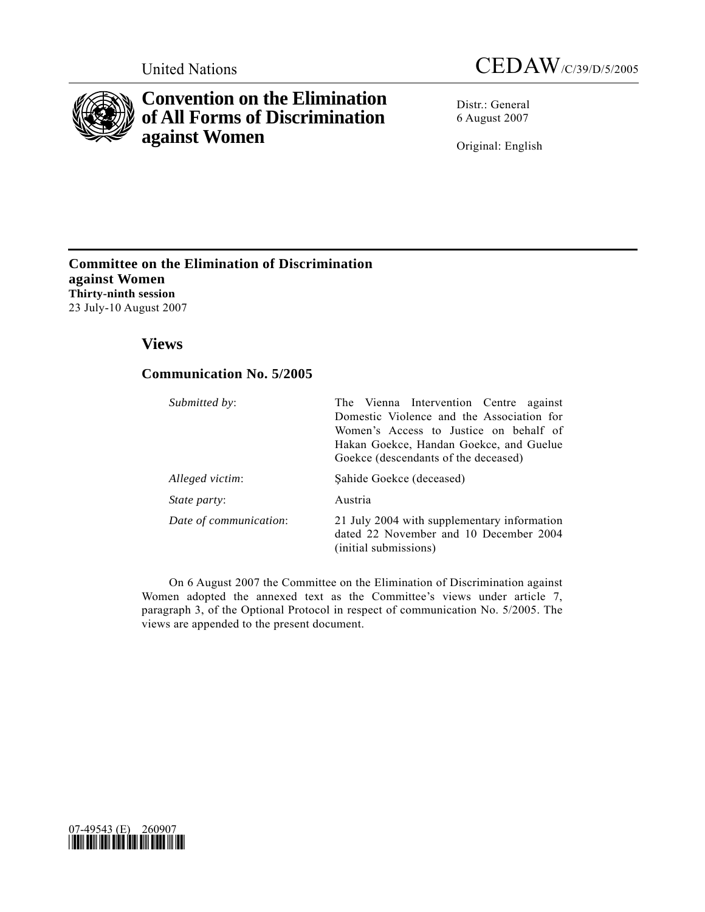

# **Convention on the Elimination of All Forms of Discrimination against Women**

Distr.: General 6 August 2007

Original: English

### **Committee on the Elimination of Discrimination against Women Thirty-ninth session**  23 July-10 August 2007

## **Views**

## **Communication No. 5/2005**

| <i>Submitted by:</i>   | The Vienna Intervention Centre against<br>Domestic Violence and the Association for<br>Women's Access to Justice on behalf of<br>Hakan Goekce, Handan Goekce, and Guelue<br>Goekce (descendants of the deceased) |
|------------------------|------------------------------------------------------------------------------------------------------------------------------------------------------------------------------------------------------------------|
| Alleged victim:        | Sahide Goekce (deceased)                                                                                                                                                                                         |
| <i>State party:</i>    | Austria                                                                                                                                                                                                          |
| Date of communication: | 21 July 2004 with supplementary information<br>dated 22 November and 10 December 2004<br>(initial submissions)                                                                                                   |

 On 6 August 2007 the Committee on the Elimination of Discrimination against Women adopted the annexed text as the Committee's views under article 7, paragraph 3, of the Optional Protocol in respect of communication No. 5/2005. The views are appended to the present document.

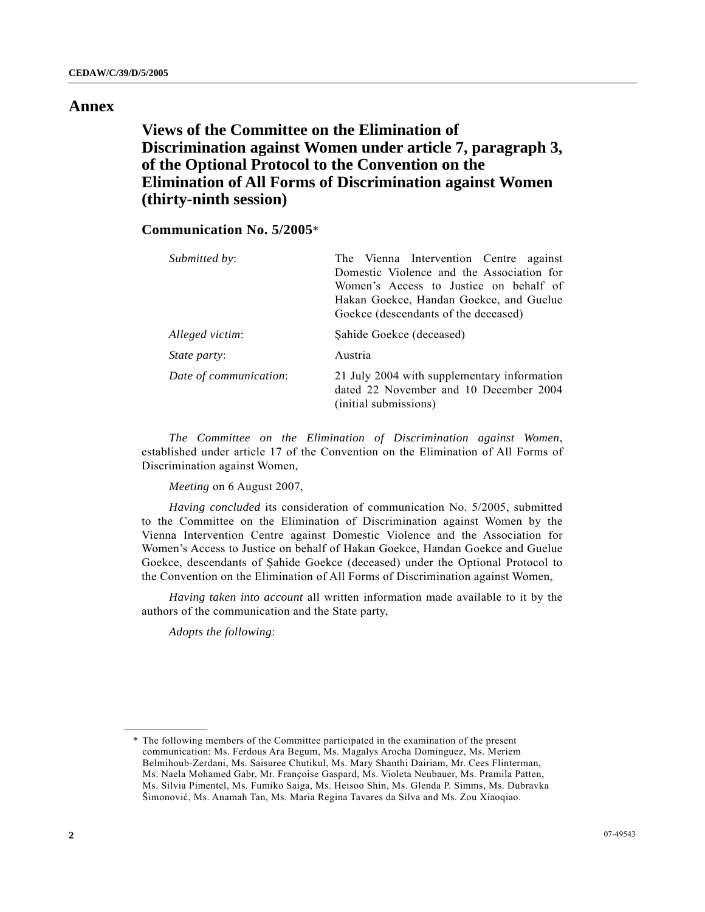### **Annex**

## **Views of the Committee on the Elimination of Discrimination against Women under article 7, paragraph 3, of the Optional Protocol to the Convention on the Elimination of All Forms of Discrimination against Women (thirty-ninth session)**

### **Communication No. 5/2005**\*

| Submitted by:          | The Vienna Intervention Centre against<br>Domestic Violence and the Association for<br>Women's Access to Justice on behalf of<br>Hakan Goekce, Handan Goekce, and Guelue<br>Goekce (descendants of the deceased) |
|------------------------|------------------------------------------------------------------------------------------------------------------------------------------------------------------------------------------------------------------|
| Alleged victim:        | Sahide Goekce (deceased)                                                                                                                                                                                         |
| <i>State party:</i>    | Austria                                                                                                                                                                                                          |
| Date of communication: | 21 July 2004 with supplementary information<br>dated 22 November and 10 December 2004<br>(initial submissions)                                                                                                   |

*The Committee on the Elimination of Discrimination against Women*, established under article 17 of the Convention on the Elimination of All Forms of Discrimination against Women,

*Meeting* on 6 August 2007,

*Having concluded* its consideration of communication No. 5/2005, submitted to the Committee on the Elimination of Discrimination against Women by the Vienna Intervention Centre against Domestic Violence and the Association for Women's Access to Justice on behalf of Hakan Goekce, Handan Goekce and Guelue Goekce, descendants of Şahide Goekce (deceased) under the Optional Protocol to the Convention on the Elimination of All Forms of Discrimination against Women,

*Having taken into account* all written information made available to it by the authors of the communication and the State party,

*Adopts the following*:

 <sup>\*</sup> The following members of the Committee participated in the examination of the present communication: Ms. Ferdous Ara Begum, Ms. Magalys Arocha Dominguez, Ms. Meriem Belmihoub-Zerdani, Ms. Saisuree Chutikul, Ms. Mary Shanthi Dairiam, Mr. Cees Flinterman, Ms. Naela Mohamed Gabr, Mr. Françoise Gaspard, Ms. Violeta Neubauer, Ms. Pramila Patten, Ms. Silvia Pimentel, Ms. Fumiko Saiga, Ms. Heisoo Shin, Ms. Glenda P. Simms, Ms. Dubravka Šimonović, Ms. Anamah Tan, Ms. Maria Regina Tavares da Silva and Ms. Zou Xiaoqiao.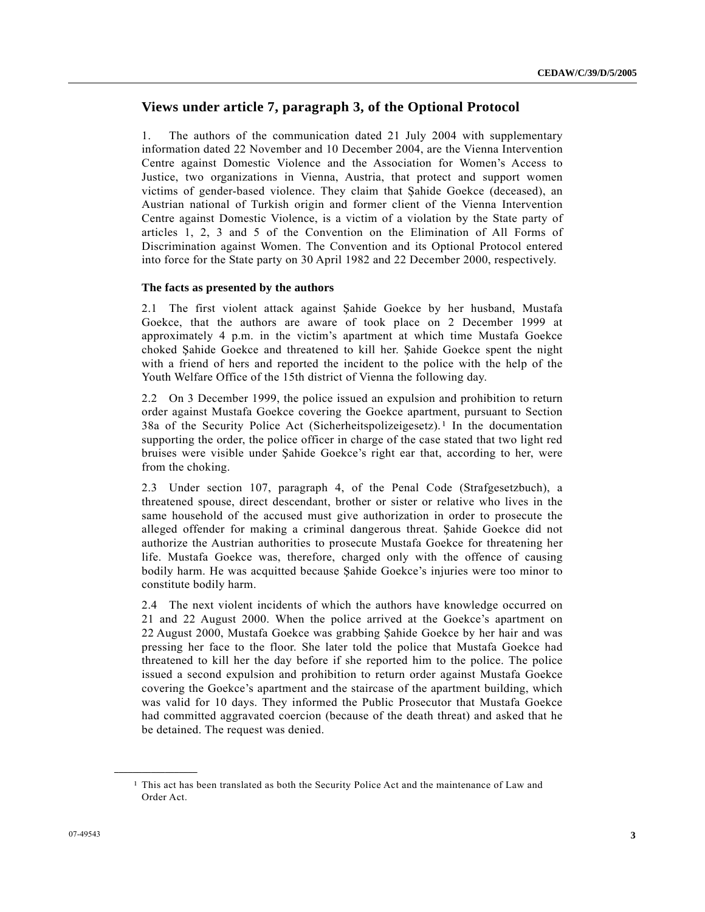## **Views under article 7, paragraph 3, of the Optional Protocol**

1. The authors of the communication dated 21 July 2004 with supplementary information dated 22 November and 10 December 2004, are the Vienna Intervention Centre against Domestic Violence and the Association for Women's Access to Justice, two organizations in Vienna, Austria, that protect and support women victims of gender-based violence. They claim that Şahide Goekce (deceased), an Austrian national of Turkish origin and former client of the Vienna Intervention Centre against Domestic Violence, is a victim of a violation by the State party of articles 1, 2, 3 and 5 of the Convention on the Elimination of All Forms of Discrimination against Women. The Convention and its Optional Protocol entered into force for the State party on 30 April 1982 and 22 December 2000, respectively.

#### **The facts as presented by the authors**

2.1 The first violent attack against Şahide Goekce by her husband, Mustafa Goekce, that the authors are aware of took place on 2 December 1999 at approximately 4 p.m. in the victim's apartment at which time Mustafa Goekce choked Şahide Goekce and threatened to kill her. Şahide Goekce spent the night with a friend of hers and reported the incident to the police with the help of the Youth Welfare Office of the 15th district of Vienna the following day.

2.2 On 3 December 1999, the police issued an expulsion and prohibition to return order against Mustafa Goekce covering the Goekce apartment, pursuant to Section 38a of the Security Police Act (Sicherheitspolizeigesetz).<sup>1</sup> In the documentation supporting the order, the police officer in charge of the case stated that two light red bruises were visible under Şahide Goekce's right ear that, according to her, were from the choking.

2.3 Under section 107, paragraph 4, of the Penal Code (Strafgesetzbuch), a threatened spouse, direct descendant, brother or sister or relative who lives in the same household of the accused must give authorization in order to prosecute the alleged offender for making a criminal dangerous threat. Şahide Goekce did not authorize the Austrian authorities to prosecute Mustafa Goekce for threatening her life. Mustafa Goekce was, therefore, charged only with the offence of causing bodily harm. He was acquitted because Şahide Goekce's injuries were too minor to constitute bodily harm.

2.4 The next violent incidents of which the authors have knowledge occurred on 21 and 22 August 2000. When the police arrived at the Goekce's apartment on 22 August 2000, Mustafa Goekce was grabbing Şahide Goekce by her hair and was pressing her face to the floor. She later told the police that Mustafa Goekce had threatened to kill her the day before if she reported him to the police. The police issued a second expulsion and prohibition to return order against Mustafa Goekce covering the Goekce's apartment and the staircase of the apartment building, which was valid for 10 days. They informed the Public Prosecutor that Mustafa Goekce had committed aggravated coercion (because of the death threat) and asked that he be detained. The request was denied.

<span id="page-2-0"></span>**\_\_\_\_\_\_\_\_\_\_\_\_\_\_\_\_\_\_** 

<sup>&</sup>lt;sup>1</sup> This act has been translated as both the Security Police Act and the maintenance of Law and Order Act.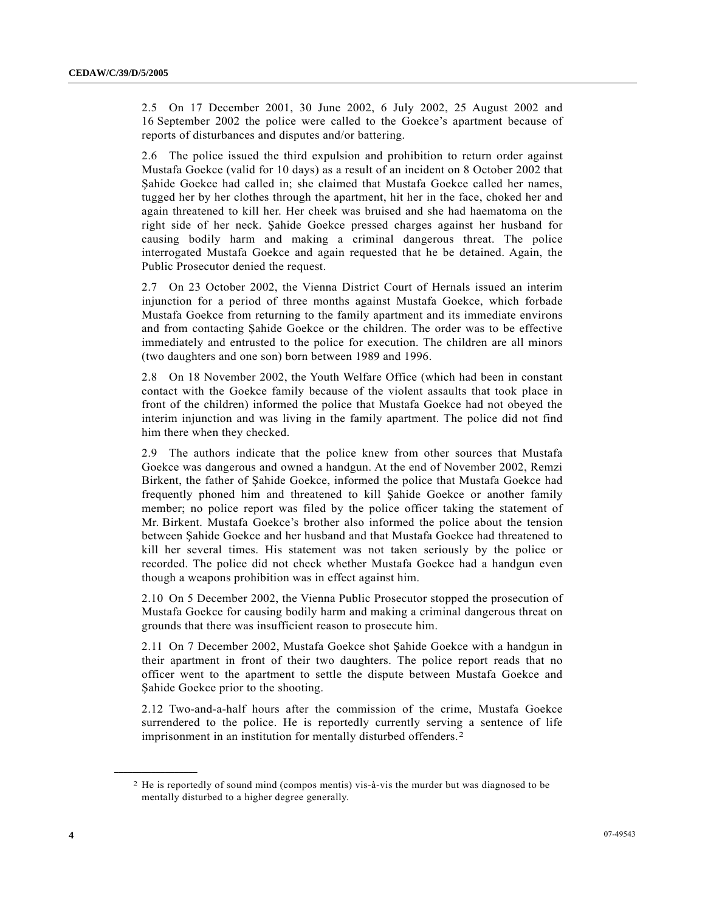2.5 On 17 December 2001, 30 June 2002, 6 July 2002, 25 August 2002 and 16 September 2002 the police were called to the Goekce's apartment because of reports of disturbances and disputes and/or battering.

2.6 The police issued the third expulsion and prohibition to return order against Mustafa Goekce (valid for 10 days) as a result of an incident on 8 October 2002 that Şahide Goekce had called in; she claimed that Mustafa Goekce called her names, tugged her by her clothes through the apartment, hit her in the face, choked her and again threatened to kill her. Her cheek was bruised and she had haematoma on the right side of her neck. Şahide Goekce pressed charges against her husband for causing bodily harm and making a criminal dangerous threat. The police interrogated Mustafa Goekce and again requested that he be detained. Again, the Public Prosecutor denied the request.

2.7 On 23 October 2002, the Vienna District Court of Hernals issued an interim injunction for a period of three months against Mustafa Goekce, which forbade Mustafa Goekce from returning to the family apartment and its immediate environs and from contacting Şahide Goekce or the children. The order was to be effective immediately and entrusted to the police for execution. The children are all minors (two daughters and one son) born between 1989 and 1996.

2.8 On 18 November 2002, the Youth Welfare Office (which had been in constant contact with the Goekce family because of the violent assaults that took place in front of the children) informed the police that Mustafa Goekce had not obeyed the interim injunction and was living in the family apartment. The police did not find him there when they checked.

2.9 The authors indicate that the police knew from other sources that Mustafa Goekce was dangerous and owned a handgun. At the end of November 2002, Remzi Birkent, the father of Şahide Goekce, informed the police that Mustafa Goekce had frequently phoned him and threatened to kill Şahide Goekce or another family member; no police report was filed by the police officer taking the statement of Mr. Birkent. Mustafa Goekce's brother also informed the police about the tension between Şahide Goekce and her husband and that Mustafa Goekce had threatened to kill her several times. His statement was not taken seriously by the police or recorded. The police did not check whether Mustafa Goekce had a handgun even though a weapons prohibition was in effect against him.

2.10 On 5 December 2002, the Vienna Public Prosecutor stopped the prosecution of Mustafa Goekce for causing bodily harm and making a criminal dangerous threat on grounds that there was insufficient reason to prosecute him.

2.11 On 7 December 2002, Mustafa Goekce shot Şahide Goekce with a handgun in their apartment in front of their two daughters. The police report reads that no officer went to the apartment to settle the dispute between Mustafa Goekce and Şahide Goekce prior to the shooting.

2.12 Two-and-a-half hours after the commission of the crime, Mustafa Goekce surrendered to the police. He is reportedly currently serving a sentence of life imprisonment in an institution for mentally disturbed offenders.[2](#page-3-0)

<span id="page-3-0"></span>**\_\_\_\_\_\_\_\_\_\_\_\_\_\_\_\_\_\_** 

<sup>2</sup> He is reportedly of sound mind (compos mentis) vis-à-vis the murder but was diagnosed to be mentally disturbed to a higher degree generally.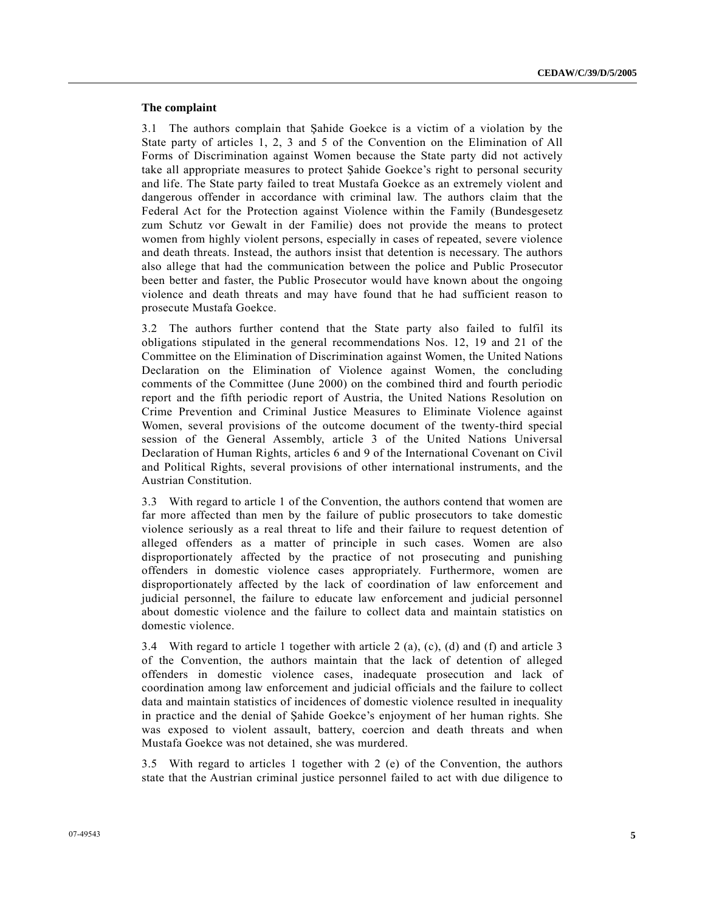#### **The complaint**

3.1 The authors complain that Şahide Goekce is a victim of a violation by the State party of articles 1, 2, 3 and 5 of the Convention on the Elimination of All Forms of Discrimination against Women because the State party did not actively take all appropriate measures to protect Şahide Goekce's right to personal security and life. The State party failed to treat Mustafa Goekce as an extremely violent and dangerous offender in accordance with criminal law. The authors claim that the Federal Act for the Protection against Violence within the Family (Bundesgesetz zum Schutz vor Gewalt in der Familie) does not provide the means to protect women from highly violent persons, especially in cases of repeated, severe violence and death threats. Instead, the authors insist that detention is necessary. The authors also allege that had the communication between the police and Public Prosecutor been better and faster, the Public Prosecutor would have known about the ongoing violence and death threats and may have found that he had sufficient reason to prosecute Mustafa Goekce.

3.2 The authors further contend that the State party also failed to fulfil its obligations stipulated in the general recommendations Nos. 12, 19 and 21 of the Committee on the Elimination of Discrimination against Women, the United Nations Declaration on the Elimination of Violence against Women, the concluding comments of the Committee (June 2000) on the combined third and fourth periodic report and the fifth periodic report of Austria, the United Nations Resolution on Crime Prevention and Criminal Justice Measures to Eliminate Violence against Women, several provisions of the outcome document of the twenty-third special session of the General Assembly, article 3 of the United Nations Universal Declaration of Human Rights, articles 6 and 9 of the International Covenant on Civil and Political Rights, several provisions of other international instruments, and the Austrian Constitution.

3.3 With regard to article 1 of the Convention, the authors contend that women are far more affected than men by the failure of public prosecutors to take domestic violence seriously as a real threat to life and their failure to request detention of alleged offenders as a matter of principle in such cases. Women are also disproportionately affected by the practice of not prosecuting and punishing offenders in domestic violence cases appropriately. Furthermore, women are disproportionately affected by the lack of coordination of law enforcement and judicial personnel, the failure to educate law enforcement and judicial personnel about domestic violence and the failure to collect data and maintain statistics on domestic violence.

3.4 With regard to article 1 together with article 2 (a), (c), (d) and (f) and article 3 of the Convention, the authors maintain that the lack of detention of alleged offenders in domestic violence cases, inadequate prosecution and lack of coordination among law enforcement and judicial officials and the failure to collect data and maintain statistics of incidences of domestic violence resulted in inequality in practice and the denial of Şahide Goekce's enjoyment of her human rights. She was exposed to violent assault, battery, coercion and death threats and when Mustafa Goekce was not detained, she was murdered.

3.5 With regard to articles 1 together with 2 (e) of the Convention, the authors state that the Austrian criminal justice personnel failed to act with due diligence to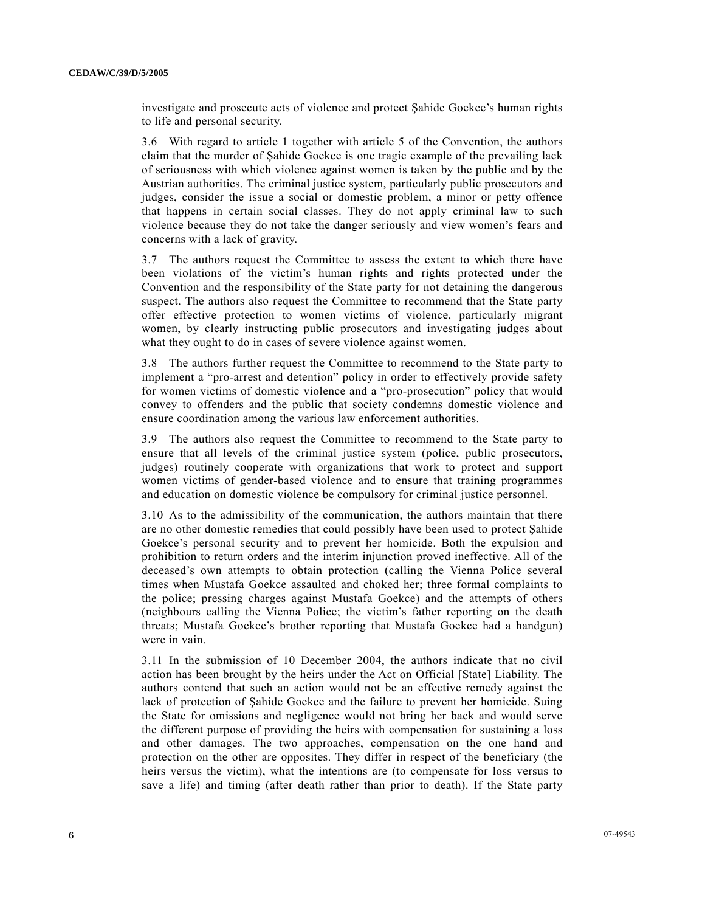investigate and prosecute acts of violence and protect Şahide Goekce's human rights to life and personal security.

3.6 With regard to article 1 together with article 5 of the Convention, the authors claim that the murder of Şahide Goekce is one tragic example of the prevailing lack of seriousness with which violence against women is taken by the public and by the Austrian authorities. The criminal justice system, particularly public prosecutors and judges, consider the issue a social or domestic problem, a minor or petty offence that happens in certain social classes. They do not apply criminal law to such violence because they do not take the danger seriously and view women's fears and concerns with a lack of gravity.

3.7 The authors request the Committee to assess the extent to which there have been violations of the victim's human rights and rights protected under the Convention and the responsibility of the State party for not detaining the dangerous suspect. The authors also request the Committee to recommend that the State party offer effective protection to women victims of violence, particularly migrant women, by clearly instructing public prosecutors and investigating judges about what they ought to do in cases of severe violence against women.

3.8 The authors further request the Committee to recommend to the State party to implement a "pro-arrest and detention" policy in order to effectively provide safety for women victims of domestic violence and a "pro-prosecution" policy that would convey to offenders and the public that society condemns domestic violence and ensure coordination among the various law enforcement authorities.

3.9 The authors also request the Committee to recommend to the State party to ensure that all levels of the criminal justice system (police, public prosecutors, judges) routinely cooperate with organizations that work to protect and support women victims of gender-based violence and to ensure that training programmes and education on domestic violence be compulsory for criminal justice personnel.

3.10 As to the admissibility of the communication, the authors maintain that there are no other domestic remedies that could possibly have been used to protect Şahide Goekce's personal security and to prevent her homicide. Both the expulsion and prohibition to return orders and the interim injunction proved ineffective. All of the deceased's own attempts to obtain protection (calling the Vienna Police several times when Mustafa Goekce assaulted and choked her; three formal complaints to the police; pressing charges against Mustafa Goekce) and the attempts of others (neighbours calling the Vienna Police; the victim's father reporting on the death threats; Mustafa Goekce's brother reporting that Mustafa Goekce had a handgun) were in vain.

3.11 In the submission of 10 December 2004, the authors indicate that no civil action has been brought by the heirs under the Act on Official [State] Liability. The authors contend that such an action would not be an effective remedy against the lack of protection of Şahide Goekce and the failure to prevent her homicide. Suing the State for omissions and negligence would not bring her back and would serve the different purpose of providing the heirs with compensation for sustaining a loss and other damages. The two approaches, compensation on the one hand and protection on the other are opposites. They differ in respect of the beneficiary (the heirs versus the victim), what the intentions are (to compensate for loss versus to save a life) and timing (after death rather than prior to death). If the State party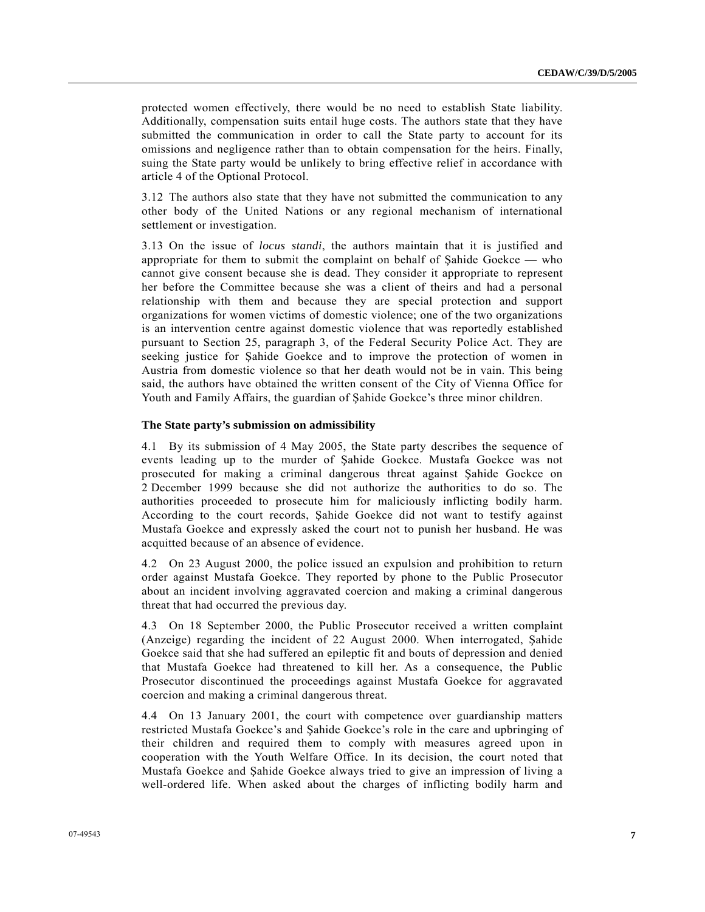protected women effectively, there would be no need to establish State liability. Additionally, compensation suits entail huge costs. The authors state that they have submitted the communication in order to call the State party to account for its omissions and negligence rather than to obtain compensation for the heirs. Finally, suing the State party would be unlikely to bring effective relief in accordance with article 4 of the Optional Protocol.

3.12 The authors also state that they have not submitted the communication to any other body of the United Nations or any regional mechanism of international settlement or investigation.

3.13 On the issue of *locus standi*, the authors maintain that it is justified and appropriate for them to submit the complaint on behalf of Şahide Goekce — who cannot give consent because she is dead. They consider it appropriate to represent her before the Committee because she was a client of theirs and had a personal relationship with them and because they are special protection and support organizations for women victims of domestic violence; one of the two organizations is an intervention centre against domestic violence that was reportedly established pursuant to Section 25, paragraph 3, of the Federal Security Police Act. They are seeking justice for Şahide Goekce and to improve the protection of women in Austria from domestic violence so that her death would not be in vain. This being said, the authors have obtained the written consent of the City of Vienna Office for Youth and Family Affairs, the guardian of Şahide Goekce's three minor children.

#### **The State party's submission on admissibility**

4.1 By its submission of 4 May 2005, the State party describes the sequence of events leading up to the murder of Şahide Goekce. Mustafa Goekce was not prosecuted for making a criminal dangerous threat against Şahide Goekce on 2 December 1999 because she did not authorize the authorities to do so. The authorities proceeded to prosecute him for maliciously inflicting bodily harm. According to the court records, Şahide Goekce did not want to testify against Mustafa Goekce and expressly asked the court not to punish her husband. He was acquitted because of an absence of evidence.

4.2 On 23 August 2000, the police issued an expulsion and prohibition to return order against Mustafa Goekce. They reported by phone to the Public Prosecutor about an incident involving aggravated coercion and making a criminal dangerous threat that had occurred the previous day.

4.3 On 18 September 2000, the Public Prosecutor received a written complaint (Anzeige) regarding the incident of 22 August 2000. When interrogated, Şahide Goekce said that she had suffered an epileptic fit and bouts of depression and denied that Mustafa Goekce had threatened to kill her. As a consequence, the Public Prosecutor discontinued the proceedings against Mustafa Goekce for aggravated coercion and making a criminal dangerous threat.

4.4 On 13 January 2001, the court with competence over guardianship matters restricted Mustafa Goekce's and Şahide Goekce's role in the care and upbringing of their children and required them to comply with measures agreed upon in cooperation with the Youth Welfare Office. In its decision, the court noted that Mustafa Goekce and Şahide Goekce always tried to give an impression of living a well-ordered life. When asked about the charges of inflicting bodily harm and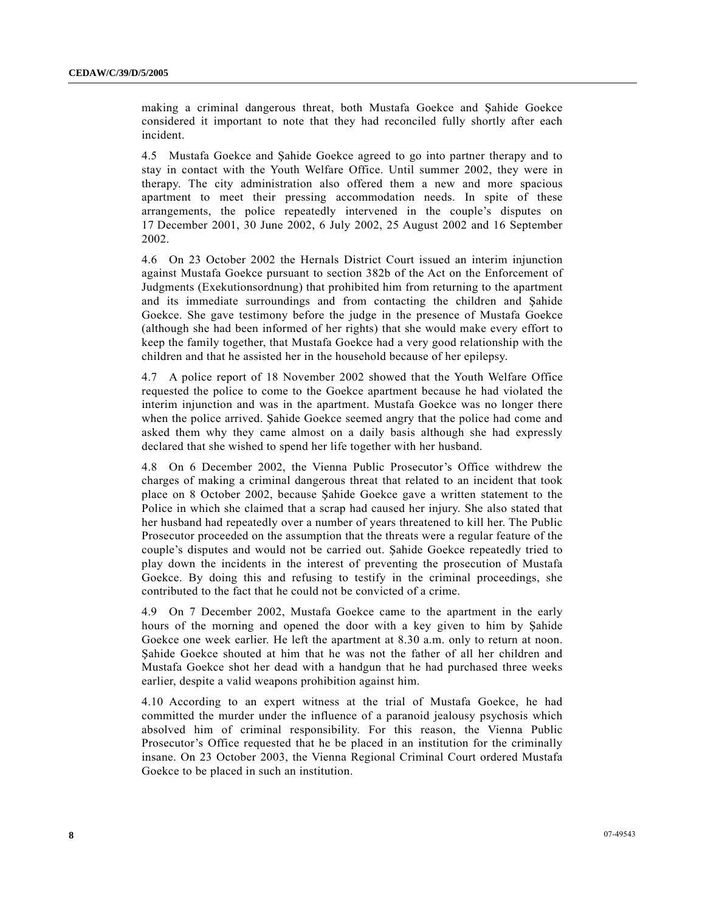making a criminal dangerous threat, both Mustafa Goekce and Şahide Goekce considered it important to note that they had reconciled fully shortly after each incident.

4.5 Mustafa Goekce and Şahide Goekce agreed to go into partner therapy and to stay in contact with the Youth Welfare Office. Until summer 2002, they were in therapy. The city administration also offered them a new and more spacious apartment to meet their pressing accommodation needs. In spite of these arrangements, the police repeatedly intervened in the couple's disputes on 17 December 2001, 30 June 2002, 6 July 2002, 25 August 2002 and 16 September 2002.

4.6 On 23 October 2002 the Hernals District Court issued an interim injunction against Mustafa Goekce pursuant to section 382b of the Act on the Enforcement of Judgments (Exekutionsordnung) that prohibited him from returning to the apartment and its immediate surroundings and from contacting the children and Şahide Goekce. She gave testimony before the judge in the presence of Mustafa Goekce (although she had been informed of her rights) that she would make every effort to keep the family together, that Mustafa Goekce had a very good relationship with the children and that he assisted her in the household because of her epilepsy.

4.7 A police report of 18 November 2002 showed that the Youth Welfare Office requested the police to come to the Goekce apartment because he had violated the interim injunction and was in the apartment. Mustafa Goekce was no longer there when the police arrived. Şahide Goekce seemed angry that the police had come and asked them why they came almost on a daily basis although she had expressly declared that she wished to spend her life together with her husband.

4.8 On 6 December 2002, the Vienna Public Prosecutor's Office withdrew the charges of making a criminal dangerous threat that related to an incident that took place on 8 October 2002, because Şahide Goekce gave a written statement to the Police in which she claimed that a scrap had caused her injury. She also stated that her husband had repeatedly over a number of years threatened to kill her. The Public Prosecutor proceeded on the assumption that the threats were a regular feature of the couple's disputes and would not be carried out. Şahide Goekce repeatedly tried to play down the incidents in the interest of preventing the prosecution of Mustafa Goekce. By doing this and refusing to testify in the criminal proceedings, she contributed to the fact that he could not be convicted of a crime.

4.9 On 7 December 2002, Mustafa Goekce came to the apartment in the early hours of the morning and opened the door with a key given to him by Şahide Goekce one week earlier. He left the apartment at 8.30 a.m. only to return at noon. Şahide Goekce shouted at him that he was not the father of all her children and Mustafa Goekce shot her dead with a handgun that he had purchased three weeks earlier, despite a valid weapons prohibition against him.

4.10 According to an expert witness at the trial of Mustafa Goekce, he had committed the murder under the influence of a paranoid jealousy psychosis which absolved him of criminal responsibility. For this reason, the Vienna Public Prosecutor's Office requested that he be placed in an institution for the criminally insane. On 23 October 2003, the Vienna Regional Criminal Court ordered Mustafa Goekce to be placed in such an institution.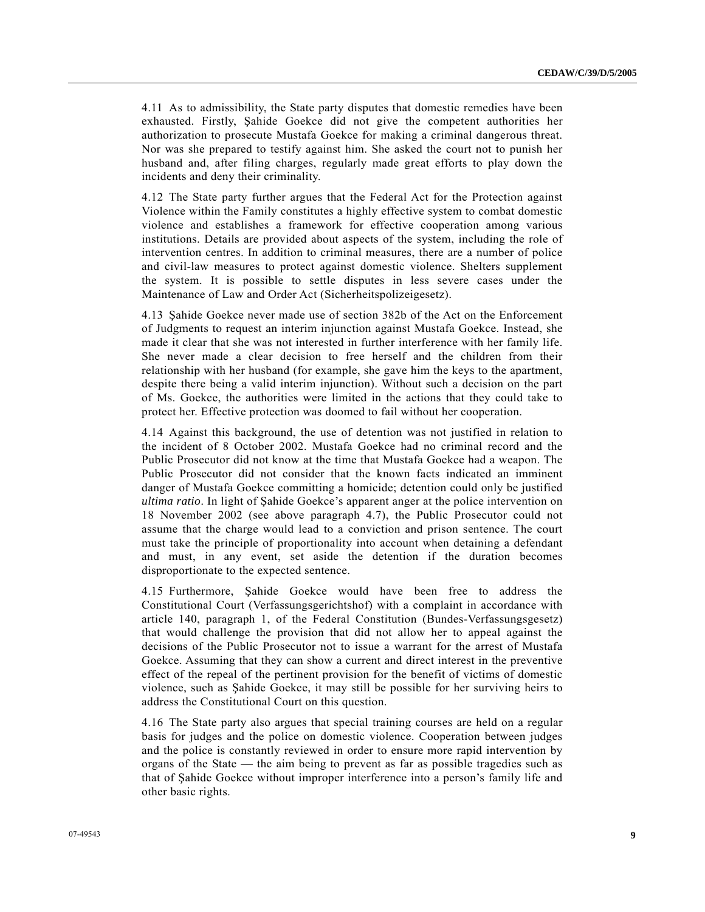4.11 As to admissibility, the State party disputes that domestic remedies have been exhausted. Firstly, Şahide Goekce did not give the competent authorities her authorization to prosecute Mustafa Goekce for making a criminal dangerous threat. Nor was she prepared to testify against him. She asked the court not to punish her husband and, after filing charges, regularly made great efforts to play down the incidents and deny their criminality.

4.12 The State party further argues that the Federal Act for the Protection against Violence within the Family constitutes a highly effective system to combat domestic violence and establishes a framework for effective cooperation among various institutions. Details are provided about aspects of the system, including the role of intervention centres. In addition to criminal measures, there are a number of police and civil-law measures to protect against domestic violence. Shelters supplement the system. It is possible to settle disputes in less severe cases under the Maintenance of Law and Order Act (Sicherheitspolizeigesetz).

4.13 Şahide Goekce never made use of section 382b of the Act on the Enforcement of Judgments to request an interim injunction against Mustafa Goekce. Instead, she made it clear that she was not interested in further interference with her family life. She never made a clear decision to free herself and the children from their relationship with her husband (for example, she gave him the keys to the apartment, despite there being a valid interim injunction). Without such a decision on the part of Ms. Goekce, the authorities were limited in the actions that they could take to protect her. Effective protection was doomed to fail without her cooperation.

4.14 Against this background, the use of detention was not justified in relation to the incident of 8 October 2002. Mustafa Goekce had no criminal record and the Public Prosecutor did not know at the time that Mustafa Goekce had a weapon. The Public Prosecutor did not consider that the known facts indicated an imminent danger of Mustafa Goekce committing a homicide; detention could only be justified *ultima ratio*. In light of Şahide Goekce's apparent anger at the police intervention on 18 November 2002 (see above paragraph 4.7), the Public Prosecutor could not assume that the charge would lead to a conviction and prison sentence. The court must take the principle of proportionality into account when detaining a defendant and must, in any event, set aside the detention if the duration becomes disproportionate to the expected sentence.

4.15 Furthermore, Şahide Goekce would have been free to address the Constitutional Court (Verfassungsgerichtshof) with a complaint in accordance with article 140, paragraph 1, of the Federal Constitution (Bundes-Verfassungsgesetz) that would challenge the provision that did not allow her to appeal against the decisions of the Public Prosecutor not to issue a warrant for the arrest of Mustafa Goekce. Assuming that they can show a current and direct interest in the preventive effect of the repeal of the pertinent provision for the benefit of victims of domestic violence, such as Şahide Goekce, it may still be possible for her surviving heirs to address the Constitutional Court on this question.

4.16 The State party also argues that special training courses are held on a regular basis for judges and the police on domestic violence. Cooperation between judges and the police is constantly reviewed in order to ensure more rapid intervention by organs of the State — the aim being to prevent as far as possible tragedies such as that of Şahide Goekce without improper interference into a person's family life and other basic rights.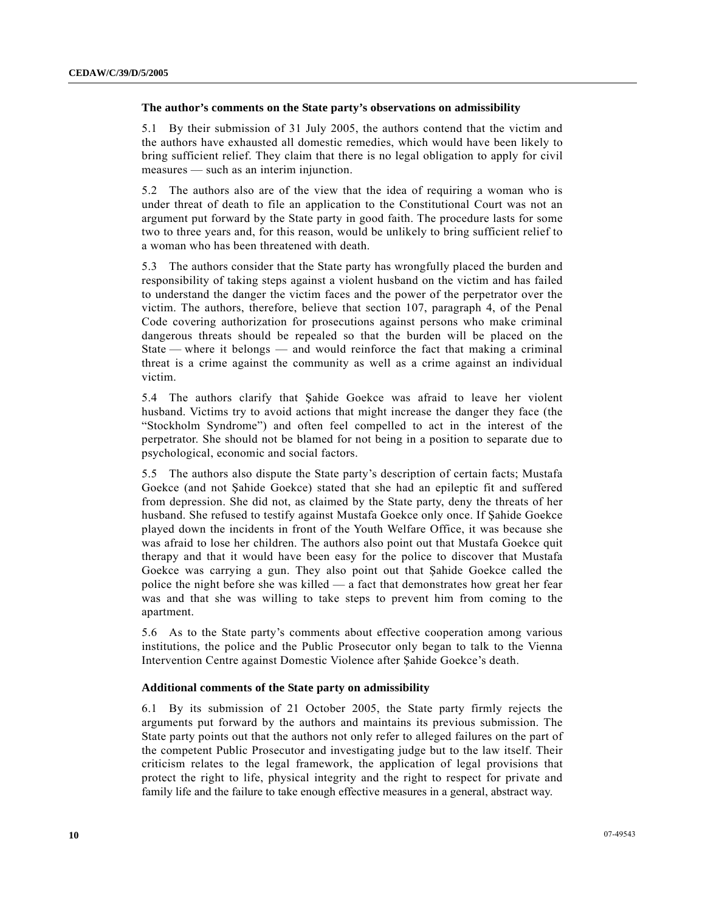#### **The author's comments on the State party's observations on admissibility**

5.1 By their submission of 31 July 2005, the authors contend that the victim and the authors have exhausted all domestic remedies, which would have been likely to bring sufficient relief. They claim that there is no legal obligation to apply for civil measures — such as an interim injunction.

5.2 The authors also are of the view that the idea of requiring a woman who is under threat of death to file an application to the Constitutional Court was not an argument put forward by the State party in good faith. The procedure lasts for some two to three years and, for this reason, would be unlikely to bring sufficient relief to a woman who has been threatened with death.

5.3 The authors consider that the State party has wrongfully placed the burden and responsibility of taking steps against a violent husband on the victim and has failed to understand the danger the victim faces and the power of the perpetrator over the victim. The authors, therefore, believe that section 107, paragraph 4, of the Penal Code covering authorization for prosecutions against persons who make criminal dangerous threats should be repealed so that the burden will be placed on the State — where it belongs — and would reinforce the fact that making a criminal threat is a crime against the community as well as a crime against an individual victim.

5.4 The authors clarify that Şahide Goekce was afraid to leave her violent husband. Victims try to avoid actions that might increase the danger they face (the "Stockholm Syndrome") and often feel compelled to act in the interest of the perpetrator. She should not be blamed for not being in a position to separate due to psychological, economic and social factors.

5.5 The authors also dispute the State party's description of certain facts; Mustafa Goekce (and not Şahide Goekce) stated that she had an epileptic fit and suffered from depression. She did not, as claimed by the State party, deny the threats of her husband. She refused to testify against Mustafa Goekce only once. If Şahide Goekce played down the incidents in front of the Youth Welfare Office, it was because she was afraid to lose her children. The authors also point out that Mustafa Goekce quit therapy and that it would have been easy for the police to discover that Mustafa Goekce was carrying a gun. They also point out that Şahide Goekce called the police the night before she was killed — a fact that demonstrates how great her fear was and that she was willing to take steps to prevent him from coming to the apartment.

5.6 As to the State party's comments about effective cooperation among various institutions, the police and the Public Prosecutor only began to talk to the Vienna Intervention Centre against Domestic Violence after Şahide Goekce's death.

#### **Additional comments of the State party on admissibility**

6.1 By its submission of 21 October 2005, the State party firmly rejects the arguments put forward by the authors and maintains its previous submission. The State party points out that the authors not only refer to alleged failures on the part of the competent Public Prosecutor and investigating judge but to the law itself. Their criticism relates to the legal framework, the application of legal provisions that protect the right to life, physical integrity and the right to respect for private and family life and the failure to take enough effective measures in a general, abstract way.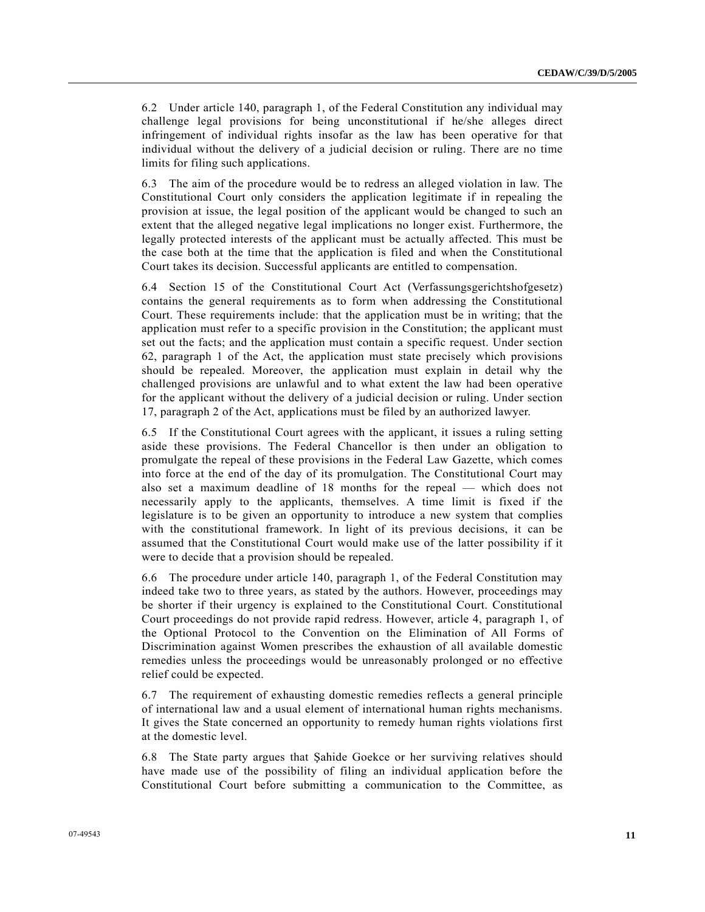6.2 Under article 140, paragraph 1, of the Federal Constitution any individual may challenge legal provisions for being unconstitutional if he/she alleges direct infringement of individual rights insofar as the law has been operative for that individual without the delivery of a judicial decision or ruling. There are no time limits for filing such applications.

6.3 The aim of the procedure would be to redress an alleged violation in law. The Constitutional Court only considers the application legitimate if in repealing the provision at issue, the legal position of the applicant would be changed to such an extent that the alleged negative legal implications no longer exist. Furthermore, the legally protected interests of the applicant must be actually affected. This must be the case both at the time that the application is filed and when the Constitutional Court takes its decision. Successful applicants are entitled to compensation.

6.4 Section 15 of the Constitutional Court Act (Verfassungsgerichtshofgesetz) contains the general requirements as to form when addressing the Constitutional Court. These requirements include: that the application must be in writing; that the application must refer to a specific provision in the Constitution; the applicant must set out the facts; and the application must contain a specific request. Under section 62, paragraph 1 of the Act, the application must state precisely which provisions should be repealed. Moreover, the application must explain in detail why the challenged provisions are unlawful and to what extent the law had been operative for the applicant without the delivery of a judicial decision or ruling. Under section 17, paragraph 2 of the Act, applications must be filed by an authorized lawyer.

6.5 If the Constitutional Court agrees with the applicant, it issues a ruling setting aside these provisions. The Federal Chancellor is then under an obligation to promulgate the repeal of these provisions in the Federal Law Gazette, which comes into force at the end of the day of its promulgation. The Constitutional Court may also set a maximum deadline of 18 months for the repeal — which does not necessarily apply to the applicants, themselves. A time limit is fixed if the legislature is to be given an opportunity to introduce a new system that complies with the constitutional framework. In light of its previous decisions, it can be assumed that the Constitutional Court would make use of the latter possibility if it were to decide that a provision should be repealed.

6.6 The procedure under article 140, paragraph 1, of the Federal Constitution may indeed take two to three years, as stated by the authors. However, proceedings may be shorter if their urgency is explained to the Constitutional Court. Constitutional Court proceedings do not provide rapid redress. However, article 4, paragraph 1, of the Optional Protocol to the Convention on the Elimination of All Forms of Discrimination against Women prescribes the exhaustion of all available domestic remedies unless the proceedings would be unreasonably prolonged or no effective relief could be expected.

6.7 The requirement of exhausting domestic remedies reflects a general principle of international law and a usual element of international human rights mechanisms. It gives the State concerned an opportunity to remedy human rights violations first at the domestic level.

6.8 The State party argues that Şahide Goekce or her surviving relatives should have made use of the possibility of filing an individual application before the Constitutional Court before submitting a communication to the Committee, as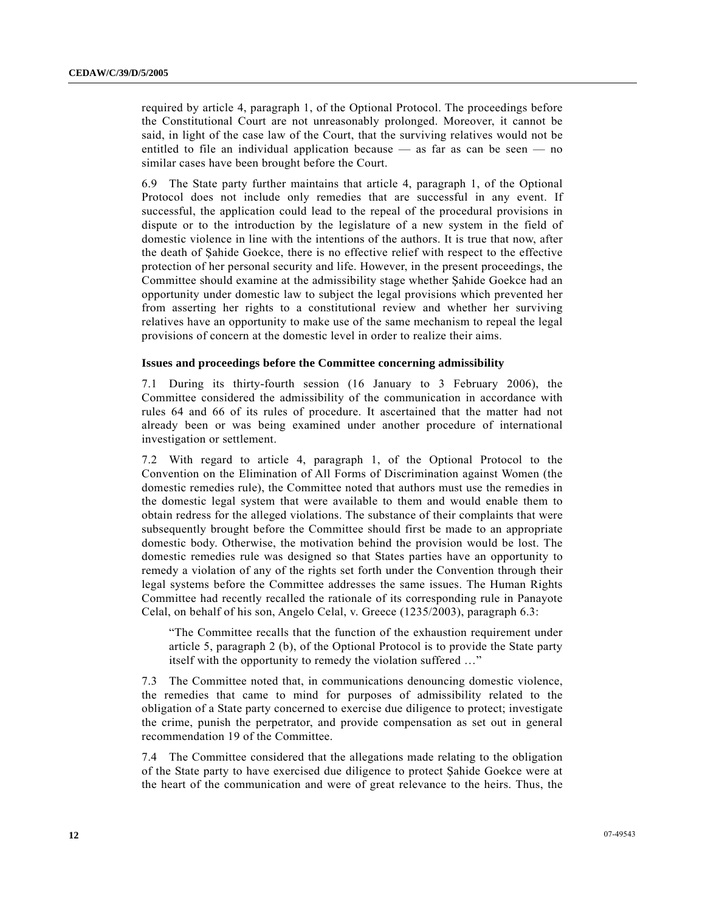required by article 4, paragraph 1, of the Optional Protocol. The proceedings before the Constitutional Court are not unreasonably prolonged. Moreover, it cannot be said, in light of the case law of the Court, that the surviving relatives would not be entitled to file an individual application because — as far as can be seen — no similar cases have been brought before the Court.

6.9 The State party further maintains that article 4, paragraph 1, of the Optional Protocol does not include only remedies that are successful in any event. If successful, the application could lead to the repeal of the procedural provisions in dispute or to the introduction by the legislature of a new system in the field of domestic violence in line with the intentions of the authors. It is true that now, after the death of Şahide Goekce, there is no effective relief with respect to the effective protection of her personal security and life. However, in the present proceedings, the Committee should examine at the admissibility stage whether Şahide Goekce had an opportunity under domestic law to subject the legal provisions which prevented her from asserting her rights to a constitutional review and whether her surviving relatives have an opportunity to make use of the same mechanism to repeal the legal provisions of concern at the domestic level in order to realize their aims.

#### **Issues and proceedings before the Committee concerning admissibility**

7.1 During its thirty-fourth session (16 January to 3 February 2006), the Committee considered the admissibility of the communication in accordance with rules 64 and 66 of its rules of procedure. It ascertained that the matter had not already been or was being examined under another procedure of international investigation or settlement.

7.2 With regard to article 4, paragraph 1, of the Optional Protocol to the Convention on the Elimination of All Forms of Discrimination against Women (the domestic remedies rule), the Committee noted that authors must use the remedies in the domestic legal system that were available to them and would enable them to obtain redress for the alleged violations. The substance of their complaints that were subsequently brought before the Committee should first be made to an appropriate domestic body. Otherwise, the motivation behind the provision would be lost. The domestic remedies rule was designed so that States parties have an opportunity to remedy a violation of any of the rights set forth under the Convention through their legal systems before the Committee addresses the same issues. The Human Rights Committee had recently recalled the rationale of its corresponding rule in Panayote Celal, on behalf of his son, Angelo Celal, v. Greece (1235/2003), paragraph 6.3:

 "The Committee recalls that the function of the exhaustion requirement under article 5, paragraph 2 (b), of the Optional Protocol is to provide the State party itself with the opportunity to remedy the violation suffered …"

7.3 The Committee noted that, in communications denouncing domestic violence, the remedies that came to mind for purposes of admissibility related to the obligation of a State party concerned to exercise due diligence to protect; investigate the crime, punish the perpetrator, and provide compensation as set out in general recommendation 19 of the Committee.

7.4 The Committee considered that the allegations made relating to the obligation of the State party to have exercised due diligence to protect Şahide Goekce were at the heart of the communication and were of great relevance to the heirs. Thus, the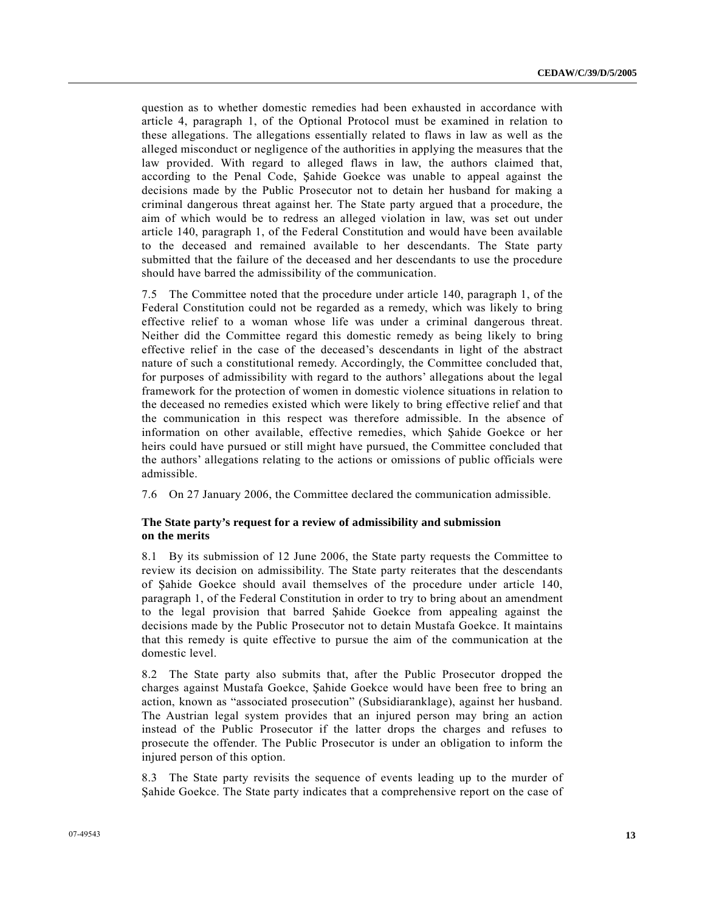question as to whether domestic remedies had been exhausted in accordance with article 4, paragraph 1, of the Optional Protocol must be examined in relation to these allegations. The allegations essentially related to flaws in law as well as the alleged misconduct or negligence of the authorities in applying the measures that the law provided. With regard to alleged flaws in law, the authors claimed that, according to the Penal Code, Şahide Goekce was unable to appeal against the decisions made by the Public Prosecutor not to detain her husband for making a criminal dangerous threat against her. The State party argued that a procedure, the aim of which would be to redress an alleged violation in law, was set out under article 140, paragraph 1, of the Federal Constitution and would have been available to the deceased and remained available to her descendants. The State party submitted that the failure of the deceased and her descendants to use the procedure should have barred the admissibility of the communication.

7.5 The Committee noted that the procedure under article 140, paragraph 1, of the Federal Constitution could not be regarded as a remedy, which was likely to bring effective relief to a woman whose life was under a criminal dangerous threat. Neither did the Committee regard this domestic remedy as being likely to bring effective relief in the case of the deceased's descendants in light of the abstract nature of such a constitutional remedy. Accordingly, the Committee concluded that, for purposes of admissibility with regard to the authors' allegations about the legal framework for the protection of women in domestic violence situations in relation to the deceased no remedies existed which were likely to bring effective relief and that the communication in this respect was therefore admissible. In the absence of information on other available, effective remedies, which Şahide Goekce or her heirs could have pursued or still might have pursued, the Committee concluded that the authors' allegations relating to the actions or omissions of public officials were admissible.

7.6 On 27 January 2006, the Committee declared the communication admissible.

#### **The State party's request for a review of admissibility and submission on the merits**

8.1 By its submission of 12 June 2006, the State party requests the Committee to review its decision on admissibility. The State party reiterates that the descendants of Şahide Goekce should avail themselves of the procedure under article 140, paragraph 1, of the Federal Constitution in order to try to bring about an amendment to the legal provision that barred Şahide Goekce from appealing against the decisions made by the Public Prosecutor not to detain Mustafa Goekce. It maintains that this remedy is quite effective to pursue the aim of the communication at the domestic level.

8.2 The State party also submits that, after the Public Prosecutor dropped the charges against Mustafa Goekce, Şahide Goekce would have been free to bring an action, known as "associated prosecution" (Subsidiaranklage), against her husband. The Austrian legal system provides that an injured person may bring an action instead of the Public Prosecutor if the latter drops the charges and refuses to prosecute the offender. The Public Prosecutor is under an obligation to inform the injured person of this option.

8.3 The State party revisits the sequence of events leading up to the murder of Şahide Goekce. The State party indicates that a comprehensive report on the case of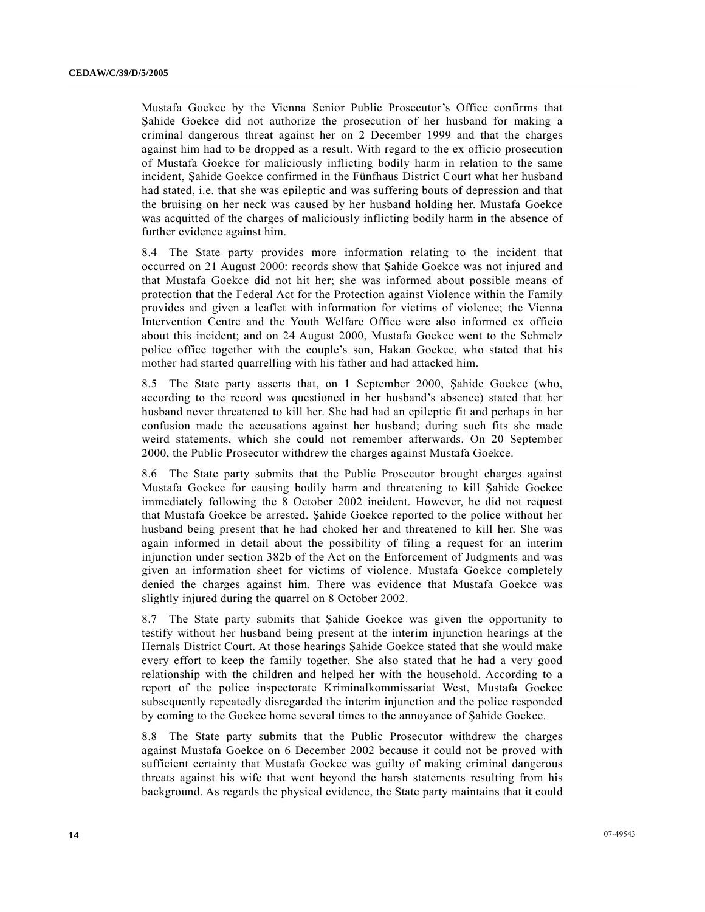Mustafa Goekce by the Vienna Senior Public Prosecutor's Office confirms that Şahide Goekce did not authorize the prosecution of her husband for making a criminal dangerous threat against her on 2 December 1999 and that the charges against him had to be dropped as a result. With regard to the ex officio prosecution of Mustafa Goekce for maliciously inflicting bodily harm in relation to the same incident, Şahide Goekce confirmed in the Fünfhaus District Court what her husband had stated, i.e. that she was epileptic and was suffering bouts of depression and that the bruising on her neck was caused by her husband holding her. Mustafa Goekce was acquitted of the charges of maliciously inflicting bodily harm in the absence of further evidence against him.

8.4 The State party provides more information relating to the incident that occurred on 21 August 2000: records show that Şahide Goekce was not injured and that Mustafa Goekce did not hit her; she was informed about possible means of protection that the Federal Act for the Protection against Violence within the Family provides and given a leaflet with information for victims of violence; the Vienna Intervention Centre and the Youth Welfare Office were also informed ex officio about this incident; and on 24 August 2000, Mustafa Goekce went to the Schmelz police office together with the couple's son, Hakan Goekce, who stated that his mother had started quarrelling with his father and had attacked him.

8.5 The State party asserts that, on 1 September 2000, Şahide Goekce (who, according to the record was questioned in her husband's absence) stated that her husband never threatened to kill her. She had had an epileptic fit and perhaps in her confusion made the accusations against her husband; during such fits she made weird statements, which she could not remember afterwards. On 20 September 2000, the Public Prosecutor withdrew the charges against Mustafa Goekce.

8.6 The State party submits that the Public Prosecutor brought charges against Mustafa Goekce for causing bodily harm and threatening to kill Şahide Goekce immediately following the 8 October 2002 incident. However, he did not request that Mustafa Goekce be arrested. Şahide Goekce reported to the police without her husband being present that he had choked her and threatened to kill her. She was again informed in detail about the possibility of filing a request for an interim injunction under section 382b of the Act on the Enforcement of Judgments and was given an information sheet for victims of violence. Mustafa Goekce completely denied the charges against him. There was evidence that Mustafa Goekce was slightly injured during the quarrel on 8 October 2002.

8.7 The State party submits that Şahide Goekce was given the opportunity to testify without her husband being present at the interim injunction hearings at the Hernals District Court. At those hearings Şahide Goekce stated that she would make every effort to keep the family together. She also stated that he had a very good relationship with the children and helped her with the household. According to a report of the police inspectorate Kriminalkommissariat West, Mustafa Goekce subsequently repeatedly disregarded the interim injunction and the police responded by coming to the Goekce home several times to the annoyance of Şahide Goekce.

8.8 The State party submits that the Public Prosecutor withdrew the charges against Mustafa Goekce on 6 December 2002 because it could not be proved with sufficient certainty that Mustafa Goekce was guilty of making criminal dangerous threats against his wife that went beyond the harsh statements resulting from his background. As regards the physical evidence, the State party maintains that it could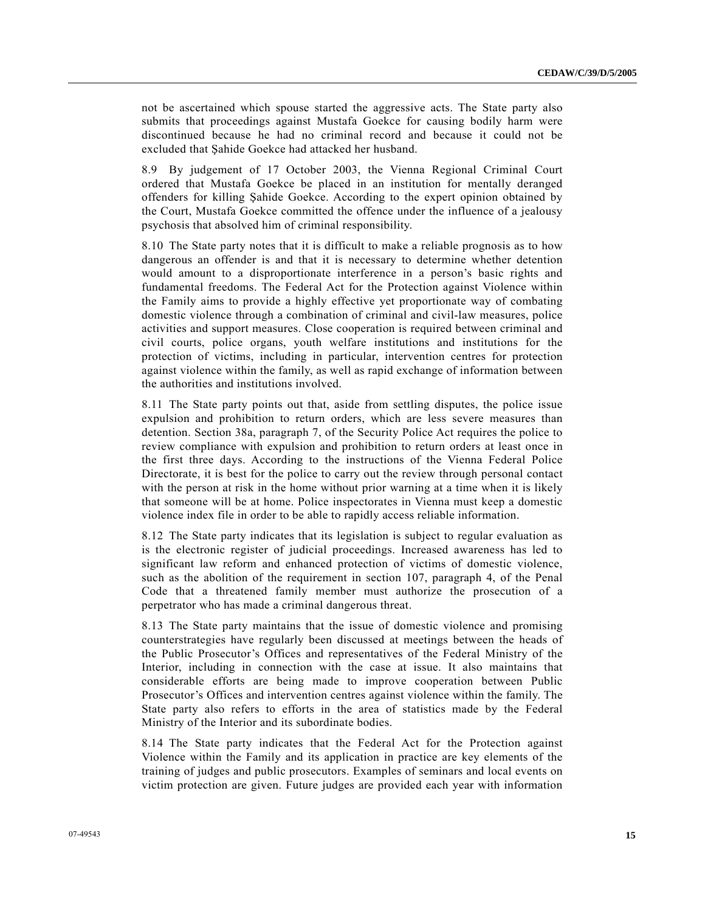not be ascertained which spouse started the aggressive acts. The State party also submits that proceedings against Mustafa Goekce for causing bodily harm were discontinued because he had no criminal record and because it could not be excluded that Şahide Goekce had attacked her husband.

8.9 By judgement of 17 October 2003, the Vienna Regional Criminal Court ordered that Mustafa Goekce be placed in an institution for mentally deranged offenders for killing Şahide Goekce. According to the expert opinion obtained by the Court, Mustafa Goekce committed the offence under the influence of a jealousy psychosis that absolved him of criminal responsibility.

8.10 The State party notes that it is difficult to make a reliable prognosis as to how dangerous an offender is and that it is necessary to determine whether detention would amount to a disproportionate interference in a person's basic rights and fundamental freedoms. The Federal Act for the Protection against Violence within the Family aims to provide a highly effective yet proportionate way of combating domestic violence through a combination of criminal and civil-law measures, police activities and support measures. Close cooperation is required between criminal and civil courts, police organs, youth welfare institutions and institutions for the protection of victims, including in particular, intervention centres for protection against violence within the family, as well as rapid exchange of information between the authorities and institutions involved.

8.11 The State party points out that, aside from settling disputes, the police issue expulsion and prohibition to return orders, which are less severe measures than detention. Section 38a, paragraph 7, of the Security Police Act requires the police to review compliance with expulsion and prohibition to return orders at least once in the first three days. According to the instructions of the Vienna Federal Police Directorate, it is best for the police to carry out the review through personal contact with the person at risk in the home without prior warning at a time when it is likely that someone will be at home. Police inspectorates in Vienna must keep a domestic violence index file in order to be able to rapidly access reliable information.

8.12 The State party indicates that its legislation is subject to regular evaluation as is the electronic register of judicial proceedings. Increased awareness has led to significant law reform and enhanced protection of victims of domestic violence, such as the abolition of the requirement in section 107, paragraph 4, of the Penal Code that a threatened family member must authorize the prosecution of a perpetrator who has made a criminal dangerous threat.

8.13 The State party maintains that the issue of domestic violence and promising counterstrategies have regularly been discussed at meetings between the heads of the Public Prosecutor's Offices and representatives of the Federal Ministry of the Interior, including in connection with the case at issue. It also maintains that considerable efforts are being made to improve cooperation between Public Prosecutor's Offices and intervention centres against violence within the family. The State party also refers to efforts in the area of statistics made by the Federal Ministry of the Interior and its subordinate bodies.

8.14 The State party indicates that the Federal Act for the Protection against Violence within the Family and its application in practice are key elements of the training of judges and public prosecutors. Examples of seminars and local events on victim protection are given. Future judges are provided each year with information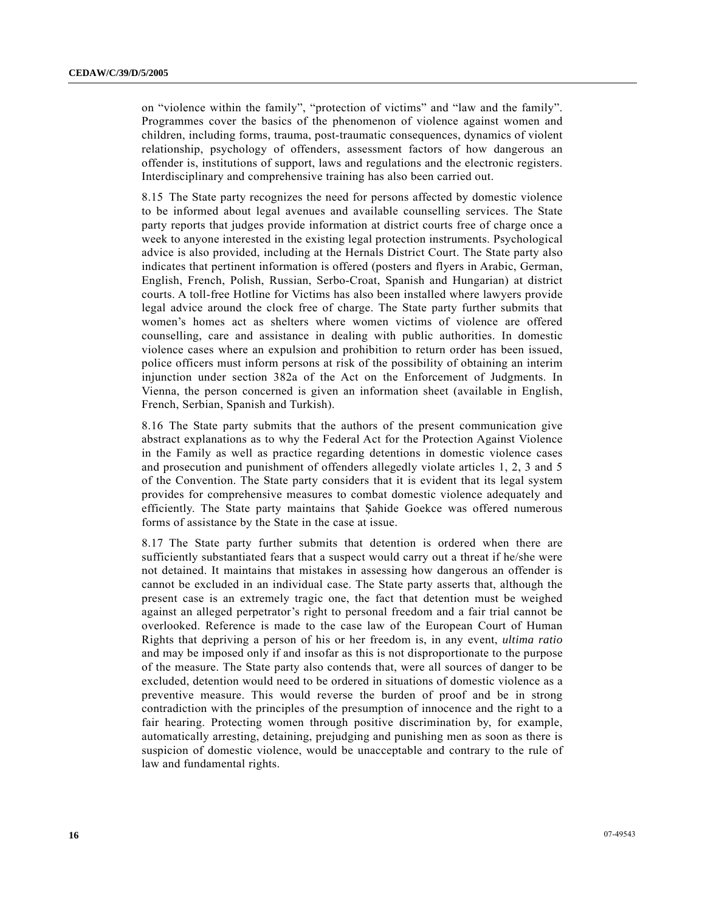on "violence within the family", "protection of victims" and "law and the family". Programmes cover the basics of the phenomenon of violence against women and children, including forms, trauma, post-traumatic consequences, dynamics of violent relationship, psychology of offenders, assessment factors of how dangerous an offender is, institutions of support, laws and regulations and the electronic registers. Interdisciplinary and comprehensive training has also been carried out.

8.15 The State party recognizes the need for persons affected by domestic violence to be informed about legal avenues and available counselling services. The State party reports that judges provide information at district courts free of charge once a week to anyone interested in the existing legal protection instruments. Psychological advice is also provided, including at the Hernals District Court. The State party also indicates that pertinent information is offered (posters and flyers in Arabic, German, English, French, Polish, Russian, Serbo-Croat, Spanish and Hungarian) at district courts. A toll-free Hotline for Victims has also been installed where lawyers provide legal advice around the clock free of charge. The State party further submits that women's homes act as shelters where women victims of violence are offered counselling, care and assistance in dealing with public authorities. In domestic violence cases where an expulsion and prohibition to return order has been issued, police officers must inform persons at risk of the possibility of obtaining an interim injunction under section 382a of the Act on the Enforcement of Judgments. In Vienna, the person concerned is given an information sheet (available in English, French, Serbian, Spanish and Turkish).

8.16 The State party submits that the authors of the present communication give abstract explanations as to why the Federal Act for the Protection Against Violence in the Family as well as practice regarding detentions in domestic violence cases and prosecution and punishment of offenders allegedly violate articles 1, 2, 3 and 5 of the Convention. The State party considers that it is evident that its legal system provides for comprehensive measures to combat domestic violence adequately and efficiently. The State party maintains that Şahide Goekce was offered numerous forms of assistance by the State in the case at issue.

8.17 The State party further submits that detention is ordered when there are sufficiently substantiated fears that a suspect would carry out a threat if he/she were not detained. It maintains that mistakes in assessing how dangerous an offender is cannot be excluded in an individual case. The State party asserts that, although the present case is an extremely tragic one, the fact that detention must be weighed against an alleged perpetrator's right to personal freedom and a fair trial cannot be overlooked. Reference is made to the case law of the European Court of Human Rights that depriving a person of his or her freedom is, in any event, *ultima ratio* and may be imposed only if and insofar as this is not disproportionate to the purpose of the measure. The State party also contends that, were all sources of danger to be excluded, detention would need to be ordered in situations of domestic violence as a preventive measure. This would reverse the burden of proof and be in strong contradiction with the principles of the presumption of innocence and the right to a fair hearing. Protecting women through positive discrimination by, for example, automatically arresting, detaining, prejudging and punishing men as soon as there is suspicion of domestic violence, would be unacceptable and contrary to the rule of law and fundamental rights.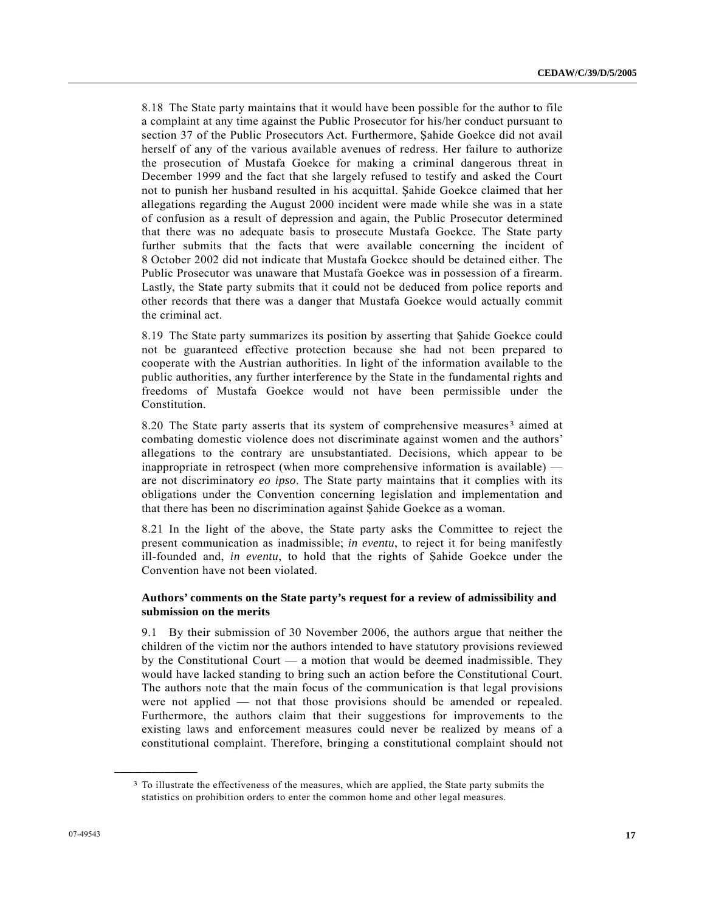8.18 The State party maintains that it would have been possible for the author to file a complaint at any time against the Public Prosecutor for his/her conduct pursuant to section 37 of the Public Prosecutors Act. Furthermore, Şahide Goekce did not avail herself of any of the various available avenues of redress. Her failure to authorize the prosecution of Mustafa Goekce for making a criminal dangerous threat in December 1999 and the fact that she largely refused to testify and asked the Court not to punish her husband resulted in his acquittal. Şahide Goekce claimed that her allegations regarding the August 2000 incident were made while she was in a state of confusion as a result of depression and again, the Public Prosecutor determined that there was no adequate basis to prosecute Mustafa Goekce. The State party further submits that the facts that were available concerning the incident of 8 October 2002 did not indicate that Mustafa Goekce should be detained either. The Public Prosecutor was unaware that Mustafa Goekce was in possession of a firearm. Lastly, the State party submits that it could not be deduced from police reports and other records that there was a danger that Mustafa Goekce would actually commit the criminal act.

8.19 The State party summarizes its position by asserting that Şahide Goekce could not be guaranteed effective protection because she had not been prepared to cooperate with the Austrian authorities. In light of the information available to the public authorities, any further interference by the State in the fundamental rights and freedoms of Mustafa Goekce would not have been permissible under the Constitution.

8.20 The State party asserts that its system of comprehensive measures<sup>3</sup> aimed at combating domestic violence does not discriminate against women and the authors' allegations to the contrary are unsubstantiated. Decisions, which appear to be inappropriate in retrospect (when more comprehensive information is available) are not discriminatory *eo ipso*. The State party maintains that it complies with its obligations under the Convention concerning legislation and implementation and that there has been no discrimination against Şahide Goekce as a woman.

8.21 In the light of the above, the State party asks the Committee to reject the present communication as inadmissible; *in eventu*, to reject it for being manifestly ill-founded and, *in eventu*, to hold that the rights of Şahide Goekce under the Convention have not been violated.

#### **Authors' comments on the State party's request for a review of admissibility and submission on the merits**

9.1 By their submission of 30 November 2006, the authors argue that neither the children of the victim nor the authors intended to have statutory provisions reviewed by the Constitutional Court — a motion that would be deemed inadmissible. They would have lacked standing to bring such an action before the Constitutional Court. The authors note that the main focus of the communication is that legal provisions were not applied — not that those provisions should be amended or repealed. Furthermore, the authors claim that their suggestions for improvements to the existing laws and enforcement measures could never be realized by means of a constitutional complaint. Therefore, bringing a constitutional complaint should not

<span id="page-16-0"></span>**\_\_\_\_\_\_\_\_\_\_\_\_\_\_\_\_\_\_** 

<sup>3</sup> To illustrate the effectiveness of the measures, which are applied, the State party submits the statistics on prohibition orders to enter the common home and other legal measures.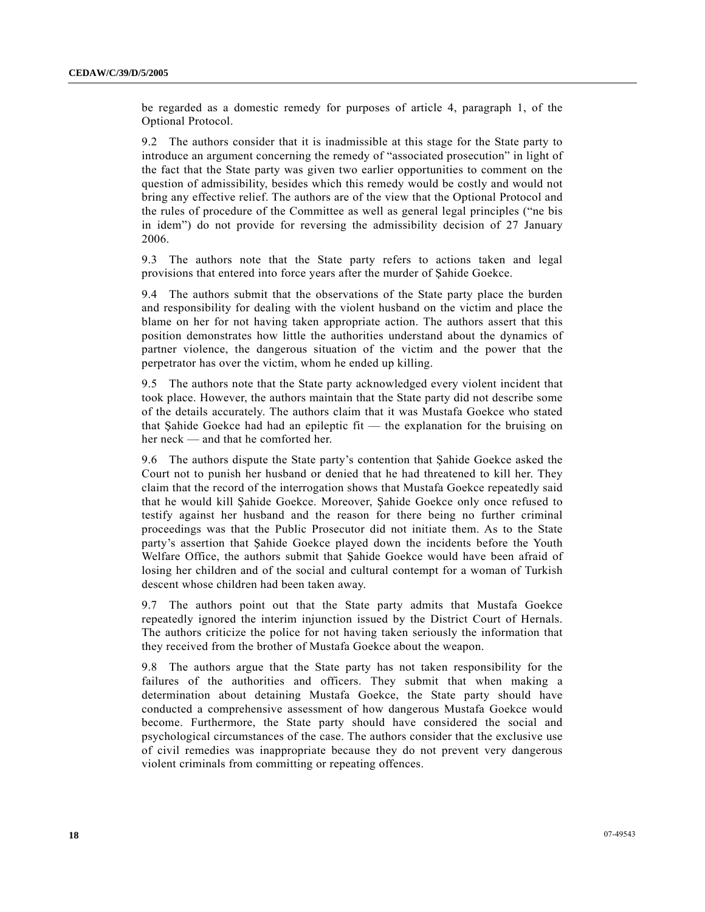be regarded as a domestic remedy for purposes of article 4, paragraph 1, of the Optional Protocol.

9.2 The authors consider that it is inadmissible at this stage for the State party to introduce an argument concerning the remedy of "associated prosecution" in light of the fact that the State party was given two earlier opportunities to comment on the question of admissibility, besides which this remedy would be costly and would not bring any effective relief. The authors are of the view that the Optional Protocol and the rules of procedure of the Committee as well as general legal principles ("ne bis in idem") do not provide for reversing the admissibility decision of 27 January 2006.

9.3 The authors note that the State party refers to actions taken and legal provisions that entered into force years after the murder of Şahide Goekce.

9.4 The authors submit that the observations of the State party place the burden and responsibility for dealing with the violent husband on the victim and place the blame on her for not having taken appropriate action. The authors assert that this position demonstrates how little the authorities understand about the dynamics of partner violence, the dangerous situation of the victim and the power that the perpetrator has over the victim, whom he ended up killing.

9.5 The authors note that the State party acknowledged every violent incident that took place. However, the authors maintain that the State party did not describe some of the details accurately. The authors claim that it was Mustafa Goekce who stated that Şahide Goekce had had an epileptic fit — the explanation for the bruising on her neck — and that he comforted her.

9.6 The authors dispute the State party's contention that Şahide Goekce asked the Court not to punish her husband or denied that he had threatened to kill her. They claim that the record of the interrogation shows that Mustafa Goekce repeatedly said that he would kill Şahide Goekce. Moreover, Şahide Goekce only once refused to testify against her husband and the reason for there being no further criminal proceedings was that the Public Prosecutor did not initiate them. As to the State party's assertion that Şahide Goekce played down the incidents before the Youth Welfare Office, the authors submit that Şahide Goekce would have been afraid of losing her children and of the social and cultural contempt for a woman of Turkish descent whose children had been taken away.

9.7 The authors point out that the State party admits that Mustafa Goekce repeatedly ignored the interim injunction issued by the District Court of Hernals. The authors criticize the police for not having taken seriously the information that they received from the brother of Mustafa Goekce about the weapon.

9.8 The authors argue that the State party has not taken responsibility for the failures of the authorities and officers. They submit that when making a determination about detaining Mustafa Goekce, the State party should have conducted a comprehensive assessment of how dangerous Mustafa Goekce would become. Furthermore, the State party should have considered the social and psychological circumstances of the case. The authors consider that the exclusive use of civil remedies was inappropriate because they do not prevent very dangerous violent criminals from committing or repeating offences.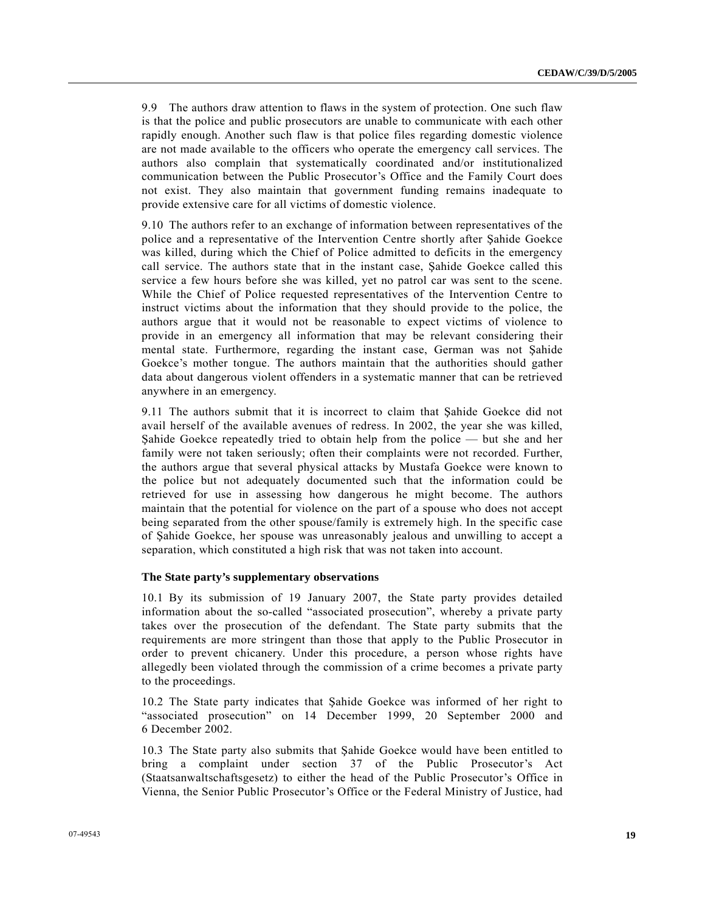9.9 The authors draw attention to flaws in the system of protection. One such flaw is that the police and public prosecutors are unable to communicate with each other rapidly enough. Another such flaw is that police files regarding domestic violence are not made available to the officers who operate the emergency call services. The authors also complain that systematically coordinated and/or institutionalized communication between the Public Prosecutor's Office and the Family Court does not exist. They also maintain that government funding remains inadequate to provide extensive care for all victims of domestic violence.

9.10 The authors refer to an exchange of information between representatives of the police and a representative of the Intervention Centre shortly after Şahide Goekce was killed, during which the Chief of Police admitted to deficits in the emergency call service. The authors state that in the instant case, Şahide Goekce called this service a few hours before she was killed, yet no patrol car was sent to the scene. While the Chief of Police requested representatives of the Intervention Centre to instruct victims about the information that they should provide to the police, the authors argue that it would not be reasonable to expect victims of violence to provide in an emergency all information that may be relevant considering their mental state. Furthermore, regarding the instant case, German was not Şahide Goekce's mother tongue. The authors maintain that the authorities should gather data about dangerous violent offenders in a systematic manner that can be retrieved anywhere in an emergency.

9.11 The authors submit that it is incorrect to claim that Şahide Goekce did not avail herself of the available avenues of redress. In 2002, the year she was killed, Şahide Goekce repeatedly tried to obtain help from the police — but she and her family were not taken seriously; often their complaints were not recorded. Further, the authors argue that several physical attacks by Mustafa Goekce were known to the police but not adequately documented such that the information could be retrieved for use in assessing how dangerous he might become. The authors maintain that the potential for violence on the part of a spouse who does not accept being separated from the other spouse/family is extremely high. In the specific case of Şahide Goekce, her spouse was unreasonably jealous and unwilling to accept a separation, which constituted a high risk that was not taken into account.

#### **The State party's supplementary observations**

10.1 By its submission of 19 January 2007, the State party provides detailed information about the so-called "associated prosecution", whereby a private party takes over the prosecution of the defendant. The State party submits that the requirements are more stringent than those that apply to the Public Prosecutor in order to prevent chicanery. Under this procedure, a person whose rights have allegedly been violated through the commission of a crime becomes a private party to the proceedings.

10.2 The State party indicates that Şahide Goekce was informed of her right to "associated prosecution" on 14 December 1999, 20 September 2000 and 6 December 2002.

10.3 The State party also submits that Şahide Goekce would have been entitled to bring a complaint under section 37 of the Public Prosecutor's Act (Staatsanwaltschaftsgesetz) to either the head of the Public Prosecutor's Office in Vienna, the Senior Public Prosecutor's Office or the Federal Ministry of Justice, had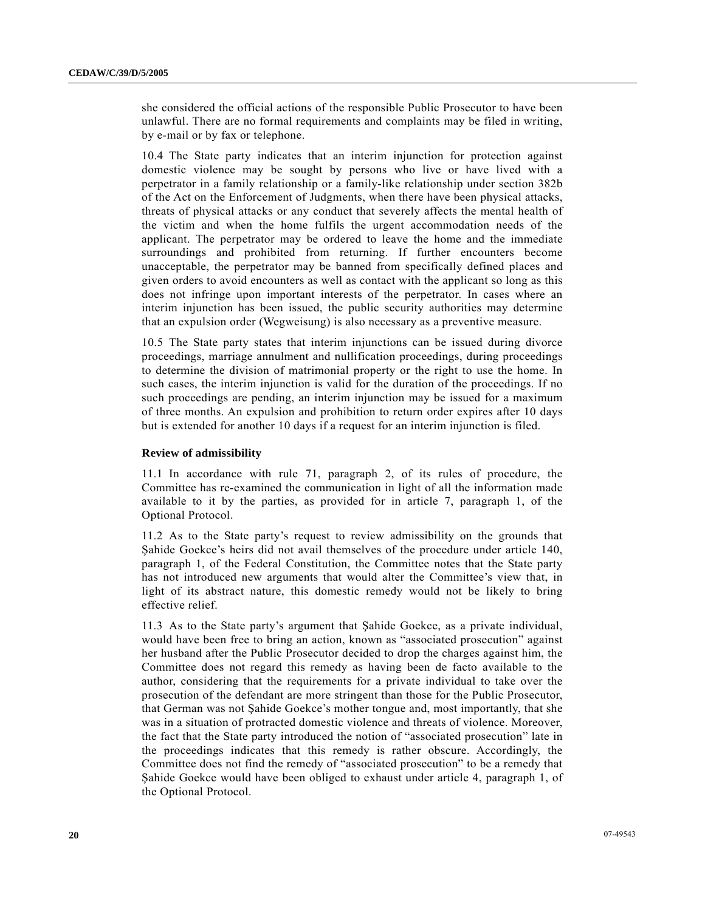she considered the official actions of the responsible Public Prosecutor to have been unlawful. There are no formal requirements and complaints may be filed in writing, by e-mail or by fax or telephone.

10.4 The State party indicates that an interim injunction for protection against domestic violence may be sought by persons who live or have lived with a perpetrator in a family relationship or a family-like relationship under section 382b of the Act on the Enforcement of Judgments, when there have been physical attacks, threats of physical attacks or any conduct that severely affects the mental health of the victim and when the home fulfils the urgent accommodation needs of the applicant. The perpetrator may be ordered to leave the home and the immediate surroundings and prohibited from returning. If further encounters become unacceptable, the perpetrator may be banned from specifically defined places and given orders to avoid encounters as well as contact with the applicant so long as this does not infringe upon important interests of the perpetrator. In cases where an interim injunction has been issued, the public security authorities may determine that an expulsion order (Wegweisung) is also necessary as a preventive measure.

10.5 The State party states that interim injunctions can be issued during divorce proceedings, marriage annulment and nullification proceedings, during proceedings to determine the division of matrimonial property or the right to use the home. In such cases, the interim injunction is valid for the duration of the proceedings. If no such proceedings are pending, an interim injunction may be issued for a maximum of three months. An expulsion and prohibition to return order expires after 10 days but is extended for another 10 days if a request for an interim injunction is filed.

#### **Review of admissibility**

11.1 In accordance with rule 71, paragraph 2, of its rules of procedure, the Committee has re-examined the communication in light of all the information made available to it by the parties, as provided for in article 7, paragraph 1, of the Optional Protocol.

11.2 As to the State party's request to review admissibility on the grounds that Şahide Goekce's heirs did not avail themselves of the procedure under article 140, paragraph 1, of the Federal Constitution, the Committee notes that the State party has not introduced new arguments that would alter the Committee's view that, in light of its abstract nature, this domestic remedy would not be likely to bring effective relief.

11.3 As to the State party's argument that Şahide Goekce, as a private individual, would have been free to bring an action, known as "associated prosecution" against her husband after the Public Prosecutor decided to drop the charges against him, the Committee does not regard this remedy as having been de facto available to the author, considering that the requirements for a private individual to take over the prosecution of the defendant are more stringent than those for the Public Prosecutor, that German was not Şahide Goekce's mother tongue and, most importantly, that she was in a situation of protracted domestic violence and threats of violence. Moreover, the fact that the State party introduced the notion of "associated prosecution" late in the proceedings indicates that this remedy is rather obscure. Accordingly, the Committee does not find the remedy of "associated prosecution" to be a remedy that Şahide Goekce would have been obliged to exhaust under article 4, paragraph 1, of the Optional Protocol.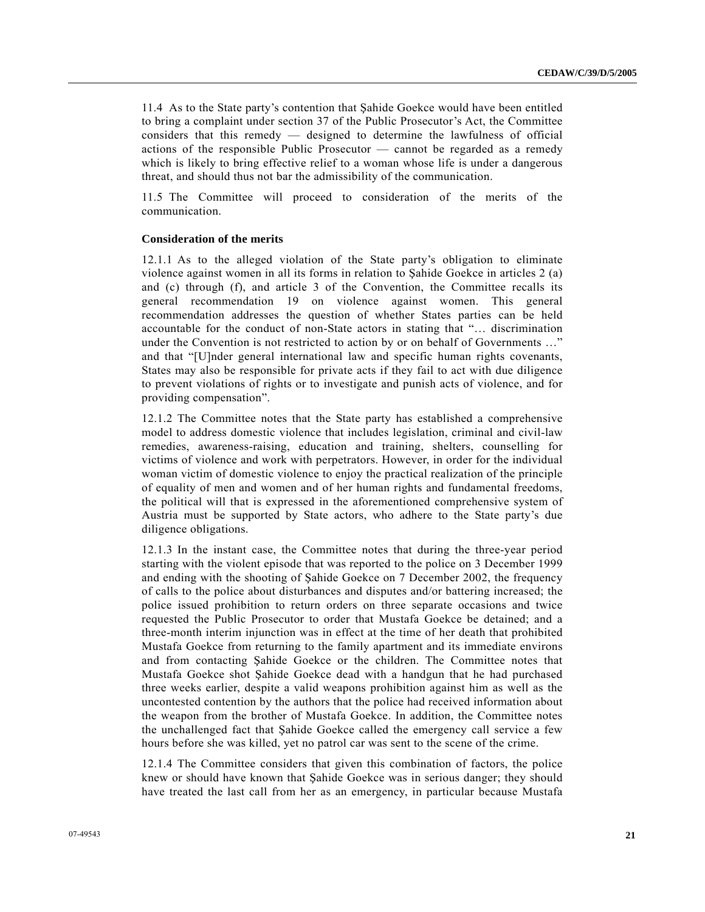11.4 As to the State party's contention that Şahide Goekce would have been entitled to bring a complaint under section 37 of the Public Prosecutor's Act, the Committee considers that this remedy — designed to determine the lawfulness of official actions of the responsible Public Prosecutor — cannot be regarded as a remedy which is likely to bring effective relief to a woman whose life is under a dangerous threat, and should thus not bar the admissibility of the communication.

11.5 The Committee will proceed to consideration of the merits of the communication.

#### **Consideration of the merits**

12.1.1 As to the alleged violation of the State party's obligation to eliminate violence against women in all its forms in relation to Şahide Goekce in articles 2 (a) and (c) through (f), and article 3 of the Convention, the Committee recalls its general recommendation 19 on violence against women. This general recommendation addresses the question of whether States parties can be held accountable for the conduct of non-State actors in stating that "… discrimination under the Convention is not restricted to action by or on behalf of Governments ..." and that "[U]nder general international law and specific human rights covenants, States may also be responsible for private acts if they fail to act with due diligence to prevent violations of rights or to investigate and punish acts of violence, and for providing compensation".

12.1.2 The Committee notes that the State party has established a comprehensive model to address domestic violence that includes legislation, criminal and civil-law remedies, awareness-raising, education and training, shelters, counselling for victims of violence and work with perpetrators. However, in order for the individual woman victim of domestic violence to enjoy the practical realization of the principle of equality of men and women and of her human rights and fundamental freedoms, the political will that is expressed in the aforementioned comprehensive system of Austria must be supported by State actors, who adhere to the State party's due diligence obligations.

12.1.3 In the instant case, the Committee notes that during the three-year period starting with the violent episode that was reported to the police on 3 December 1999 and ending with the shooting of Şahide Goekce on 7 December 2002, the frequency of calls to the police about disturbances and disputes and/or battering increased; the police issued prohibition to return orders on three separate occasions and twice requested the Public Prosecutor to order that Mustafa Goekce be detained; and a three-month interim injunction was in effect at the time of her death that prohibited Mustafa Goekce from returning to the family apartment and its immediate environs and from contacting Şahide Goekce or the children. The Committee notes that Mustafa Goekce shot Şahide Goekce dead with a handgun that he had purchased three weeks earlier, despite a valid weapons prohibition against him as well as the uncontested contention by the authors that the police had received information about the weapon from the brother of Mustafa Goekce. In addition, the Committee notes the unchallenged fact that Şahide Goekce called the emergency call service a few hours before she was killed, yet no patrol car was sent to the scene of the crime.

12.1.4 The Committee considers that given this combination of factors, the police knew or should have known that Şahide Goekce was in serious danger; they should have treated the last call from her as an emergency, in particular because Mustafa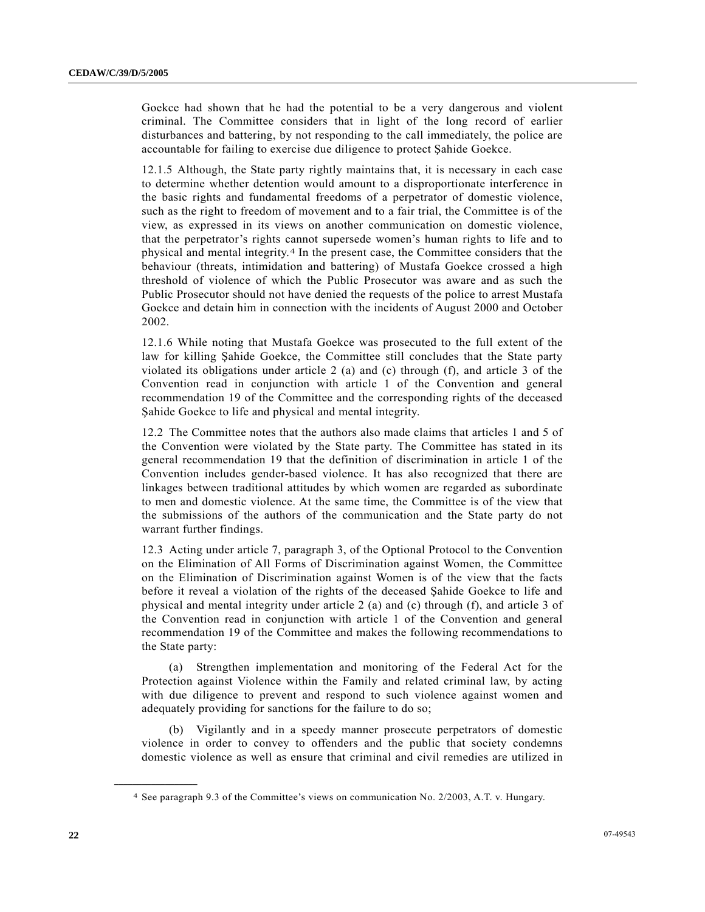Goekce had shown that he had the potential to be a very dangerous and violent criminal. The Committee considers that in light of the long record of earlier disturbances and battering, by not responding to the call immediately, the police are accountable for failing to exercise due diligence to protect Şahide Goekce.

12.1.5 Although, the State party rightly maintains that, it is necessary in each case to determine whether detention would amount to a disproportionate interference in the basic rights and fundamental freedoms of a perpetrator of domestic violence, such as the right to freedom of movement and to a fair trial, the Committee is of the view, as expressed in its views on another communication on domestic violence, that the perpetrator's rights cannot supersede women's human rights to life and to physical and mental integrity.[4](#page-21-0) In the present case, the Committee considers that the behaviour (threats, intimidation and battering) of Mustafa Goekce crossed a high threshold of violence of which the Public Prosecutor was aware and as such the Public Prosecutor should not have denied the requests of the police to arrest Mustafa Goekce and detain him in connection with the incidents of August 2000 and October 2002.

12.1.6 While noting that Mustafa Goekce was prosecuted to the full extent of the law for killing Şahide Goekce, the Committee still concludes that the State party violated its obligations under article 2 (a) and (c) through (f), and article 3 of the Convention read in conjunction with article 1 of the Convention and general recommendation 19 of the Committee and the corresponding rights of the deceased Şahide Goekce to life and physical and mental integrity.

12.2 The Committee notes that the authors also made claims that articles 1 and 5 of the Convention were violated by the State party. The Committee has stated in its general recommendation 19 that the definition of discrimination in article 1 of the Convention includes gender-based violence. It has also recognized that there are linkages between traditional attitudes by which women are regarded as subordinate to men and domestic violence. At the same time, the Committee is of the view that the submissions of the authors of the communication and the State party do not warrant further findings.

12.3 Acting under article 7, paragraph 3, of the Optional Protocol to the Convention on the Elimination of All Forms of Discrimination against Women, the Committee on the Elimination of Discrimination against Women is of the view that the facts before it reveal a violation of the rights of the deceased Şahide Goekce to life and physical and mental integrity under article 2 (a) and (c) through (f), and article 3 of the Convention read in conjunction with article 1 of the Convention and general recommendation 19 of the Committee and makes the following recommendations to the State party:

 (a) Strengthen implementation and monitoring of the Federal Act for the Protection against Violence within the Family and related criminal law, by acting with due diligence to prevent and respond to such violence against women and adequately providing for sanctions for the failure to do so;

 (b) Vigilantly and in a speedy manner prosecute perpetrators of domestic violence in order to convey to offenders and the public that society condemns domestic violence as well as ensure that criminal and civil remedies are utilized in

<span id="page-21-0"></span>**\_\_\_\_\_\_\_\_\_\_\_\_\_\_\_\_\_\_** 

<sup>4</sup> See paragraph 9.3 of the Committee's views on communication No. 2/2003, A.T. v. Hungary.